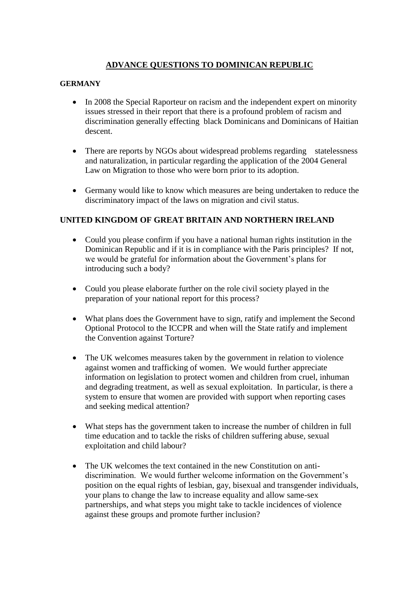## **ADVANCE QUESTIONS TO DOMINICAN REPUBLIC**

## **GERMANY**

- In 2008 the Special Raporteur on racism and the independent expert on minority issues stressed in their report that there is a profound problem of racism and discrimination generally effecting black Dominicans and Dominicans of Haitian descent.
- There are reports by NGOs about widespread problems regarding statelessness and naturalization, in particular regarding the application of the 2004 General Law on Migration to those who were born prior to its adoption.
- Germany would like to know which measures are being undertaken to reduce the discriminatory impact of the laws on migration and civil status.

## **UNITED KINGDOM OF GREAT BRITAIN AND NORTHERN IRELAND**

- Could you please confirm if you have a national human rights institution in the Dominican Republic and if it is in compliance with the Paris principles? If not, we would be grateful for information about the Government's plans for introducing such a body?
- Could you please elaborate further on the role civil society played in the preparation of your national report for this process?
- What plans does the Government have to sign, ratify and implement the Second Optional Protocol to the ICCPR and when will the State ratify and implement the Convention against Torture?
- The UK welcomes measures taken by the government in relation to violence against women and trafficking of women. We would further appreciate information on legislation to protect women and children from cruel, inhuman and degrading treatment, as well as sexual exploitation. In particular, is there a system to ensure that women are provided with support when reporting cases and seeking medical attention?
- What steps has the government taken to increase the number of children in full time education and to tackle the risks of children suffering abuse, sexual exploitation and child labour?
- The UK welcomes the text contained in the new Constitution on antidiscrimination. We would further welcome information on the Government's position on the equal rights of lesbian, gay, bisexual and transgender individuals, your plans to change the law to increase equality and allow same-sex partnerships, and what steps you might take to tackle incidences of violence against these groups and promote further inclusion?